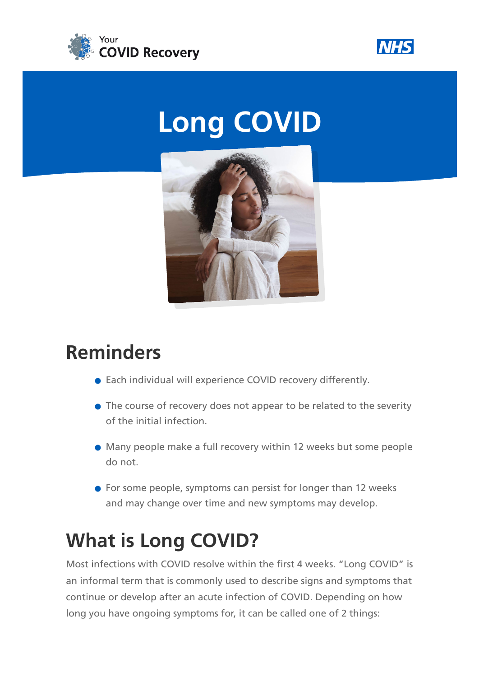



# **Long COVID**



### **Reminders**

- Each individual will experience COVID recovery differently.
- The course of recovery does not appear to be related to the severity of the initial infection.
- Many people make a full recovery within 12 weeks but some people do not.
- **•** For some people, symptoms can persist for longer than 12 weeks and may change over time and new symptoms may develop.

# **What is Long COVID?**

Most infections with COVID resolve within the first 4 weeks. "Long COVID" is an informal term that is commonly used to describe signs and symptoms that continue or develop after an acute infection of COVID. Depending on how long you have ongoing symptoms for, it can be called one of 2 things: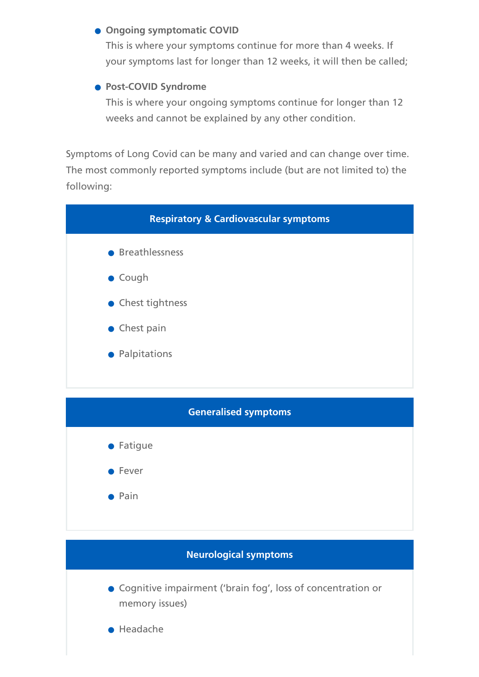#### **• Ongoing symptomatic COVID**

This is where your symptoms continue for more than 4 weeks. If your symptoms last for longer than 12 weeks, it will then be called;

#### **Post-COVID Syndrome**

This is where your ongoing symptoms continue for longer than 12 weeks and cannot be explained by any other condition.

Symptoms of Long Covid can be many and varied and can change over time. The most commonly reported symptoms include (but are not limited to) the following:



 $\bullet$  Pain

#### **Neurological symptoms**

- Cognitive impairment ('brain fog', loss of concentration or memory issues)
- **•** Headache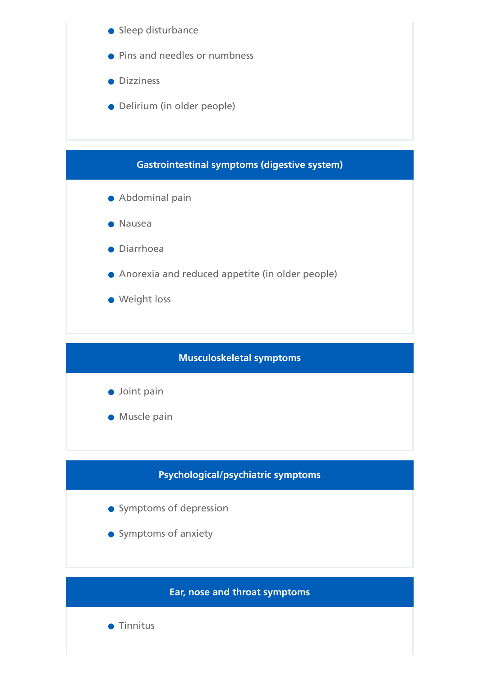

**Weight loss** 

#### **Musculoskeletal symptoms**

- **Joint pain**
- **Muscle pain**

#### **Psychological/psychiatric symptoms**

- Symptoms of depression
- Symptoms of anxiety

#### **Ear, nose and throat symptoms**

**•** Tinnitus